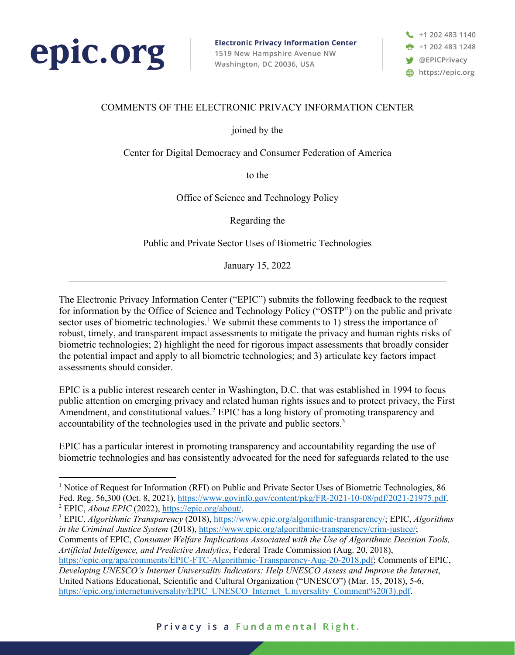

**Electronic Privacy Information Center** 1519 New Hampshire Avenue NW Washington, DC 20036, USA

+1 202 483 1140 +1 202 483 1248 **W** @EPICPrivacy https://epic.org

## COMMENTS OF THE ELECTRONIC PRIVACY INFORMATION CENTER

joined by the

Center for Digital Democracy and Consumer Federation of America

to the

Office of Science and Technology Policy

Regarding the

Public and Private Sector Uses of Biometric Technologies

January 15, 2022

The Electronic Privacy Information Center ("EPIC") submits the following feedback to the request for information by the Office of Science and Technology Policy ("OSTP") on the public and private sector uses of biometric technologies.<sup>1</sup> We submit these comments to 1) stress the importance of robust, timely, and transparent impact assessments to mitigate the privacy and human rights risks of biometric technologies; 2) highlight the need for rigorous impact assessments that broadly consider the potential impact and apply to all biometric technologies; and 3) articulate key factors impact assessments should consider.

EPIC is a public interest research center in Washington, D.C. that was established in 1994 to focus public attention on emerging privacy and related human rights issues and to protect privacy, the First Amendment, and constitutional values.<sup>2</sup> EPIC has a long history of promoting transparency and accountability of the technologies used in the private and public sectors.<sup>3</sup>

EPIC has a particular interest in promoting transparency and accountability regarding the use of biometric technologies and has consistently advocated for the need for safeguards related to the use

<sup>&</sup>lt;sup>1</sup> Notice of Request for Information (RFI) on Public and Private Sector Uses of Biometric Technologies, 86 Fed. Reg. 56,300 (Oct. 8, 2021), https://www.govinfo.gov/content/pkg/FR-2021-10-08/pdf/2021-21975.pdf. <sup>2</sup> EPIC, *About EPIC* (2022), https://epic.org/about/.

<sup>3</sup> EPIC, *Algorithmic Transparency* (2018), https://www.epic.org/algorithmic-transparency/; EPIC, *Algorithms in the Criminal Justice System* (2018), https://www.epic.org/algorithmic-transparency/crim-justice/; Comments of EPIC, *Consumer Welfare Implications Associated with the Use of Algorithmic Decision Tools, Artificial Intelligence, and Predictive Analytics*, Federal Trade Commission (Aug. 20, 2018), https://epic.org/apa/comments/EPIC-FTC-Algorithmic-Transparency-Aug-20-2018.pdf; Comments of EPIC, *Developing UNESCO's Internet Universality Indicators: Help UNESCO Assess and Improve the Internet*, United Nations Educational, Scientific and Cultural Organization ("UNESCO") (Mar. 15, 2018), 5-6, https://epic.org/internetuniversality/EPIC\_UNESCO\_Internet\_Universality\_Comment%20(3).pdf.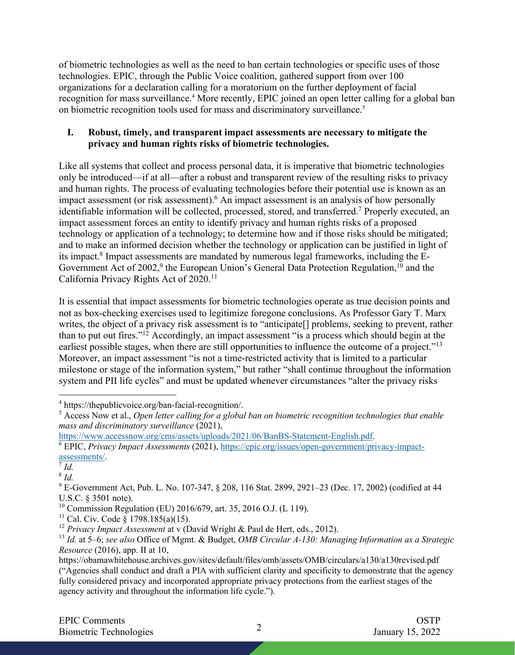of biometric technologies as well as the need to ban certain technologies or specific uses of those technologies. EPIC, through the Public Voice coalition, gathered support from over 100 organizations for a declaration calling for a moratorium on the further deployment of facial recognition for mass surveillance.<sup>4</sup> More recently, EPIC joined an open letter calling for a global ban on biometric recognition tools used for mass and discriminatory surveillance.<sup>5</sup>

### **I. Robust, timely, and transparent impact assessments are necessary to mitigate the privacy and human rights risks of biometric technologies.**

Like all systems that collect and process personal data, it is imperative that biometric technologies only be introduced—if at all—after a robust and transparent review of the resulting risks to privacy and human rights. The process of evaluating technologies before their potential use is known as an impact assessment (or risk assessment). <sup>6</sup> An impact assessment is an analysis of how personally identifiable information will be collected, processed, stored, and transferred.<sup>7</sup> Properly executed, an impact assessment forces an entity to identify privacy and human rights risks of a proposed technology or application of a technology; to determine how and if those risks should be mitigated; and to make an informed decision whether the technology or application can be justified in light of its impact.8 Impact assessments are mandated by numerous legal frameworks, including the E-Government Act of 2002,<sup>9</sup> the European Union's General Data Protection Regulation, <sup>10</sup> and the California Privacy Rights Act of 2020.11

It is essential that impact assessments for biometric technologies operate as true decision points and not as box-checking exercises used to legitimize foregone conclusions. As Professor Gary T. Marx writes, the object of a privacy risk assessment is to "anticipate[] problems, seeking to prevent, rather than to put out fires."12 Accordingly, an impact assessment "is a process which should begin at the earliest possible stages, when there are still opportunities to influence the outcome of a project."<sup>13</sup> Moreover, an impact assessment "is not a time-restricted activity that is limited to a particular milestone or stage of the information system," but rather "shall continue throughout the information system and PII life cycles" and must be updated whenever circumstances "alter the privacy risks

<sup>&</sup>lt;sup>4</sup> https://thepublicvoice.org/ban-facial-recognition/.<br><sup>5</sup> Access Now et al., *Open letter calling for a global ban on biometric recognition technologies that enable mass and discriminatory surveillance* (2021),

https://www.accessnow.org/cms/assets/uploads/2021/06/BanBS-Statement-English.pdf.

<sup>6</sup> EPIC, *Privacy Impact Assessments* (2021), https://epic.org/issues/open-government/privacy-impactassessments/. 7 *Id.*

<sup>8</sup> *Id.*

<sup>&</sup>lt;sup>9</sup> E-Government Act, Pub. L. No. 107-347, § 208, 116 Stat. 2899, 2921–23 (Dec. 17, 2002) (codified at 44 U.S.C. § 3501 note).

<sup>10</sup> Commission Regulation (EU) 2016/679, art. 35, 2016 O.J. (L 119).

<sup>&</sup>lt;sup>11</sup> Cal. Civ. Code § 1798.185(a)(15).

<sup>&</sup>lt;sup>12</sup> Privacy Impact Assessment at v (David Wright & Paul de Hert, eds., 2012).

<sup>13</sup> *Id.* at 5–6; *see also* Office of Mgmt. & Budget, *OMB Circular A-130: Managing Information as a Strategic Resource* (2016), app. II at 10,

https://obamawhitehouse.archives.gov/sites/default/files/omb/assets/OMB/circulars/a130/a130revised.pdf ("Agencies shall conduct and draft a PIA with sufficient clarity and specificity to demonstrate that the agency fully considered privacy and incorporated appropriate privacy protections from the earliest stages of the agency activity and throughout the information life cycle.").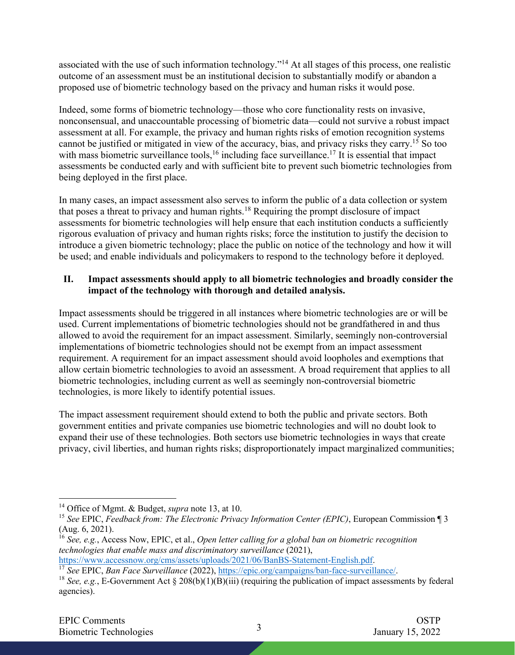associated with the use of such information technology."14 At all stages of this process, one realistic outcome of an assessment must be an institutional decision to substantially modify or abandon a proposed use of biometric technology based on the privacy and human risks it would pose.

Indeed, some forms of biometric technology—those who core functionality rests on invasive, nonconsensual, and unaccountable processing of biometric data—could not survive a robust impact assessment at all. For example, the privacy and human rights risks of emotion recognition systems cannot be justified or mitigated in view of the accuracy, bias, and privacy risks they carry.15 So too with mass biometric surveillance tools,<sup>16</sup> including face surveillance.<sup>17</sup> It is essential that impact assessments be conducted early and with sufficient bite to prevent such biometric technologies from being deployed in the first place.

In many cases, an impact assessment also serves to inform the public of a data collection or system that poses a threat to privacy and human rights.18 Requiring the prompt disclosure of impact assessments for biometric technologies will help ensure that each institution conducts a sufficiently rigorous evaluation of privacy and human rights risks; force the institution to justify the decision to introduce a given biometric technology; place the public on notice of the technology and how it will be used; and enable individuals and policymakers to respond to the technology before it deployed.

# **II. Impact assessments should apply to all biometric technologies and broadly consider the impact of the technology with thorough and detailed analysis.**

Impact assessments should be triggered in all instances where biometric technologies are or will be used. Current implementations of biometric technologies should not be grandfathered in and thus allowed to avoid the requirement for an impact assessment. Similarly, seemingly non-controversial implementations of biometric technologies should not be exempt from an impact assessment requirement. A requirement for an impact assessment should avoid loopholes and exemptions that allow certain biometric technologies to avoid an assessment. A broad requirement that applies to all biometric technologies, including current as well as seemingly non-controversial biometric technologies, is more likely to identify potential issues.

The impact assessment requirement should extend to both the public and private sectors. Both government entities and private companies use biometric technologies and will no doubt look to expand their use of these technologies. Both sectors use biometric technologies in ways that create privacy, civil liberties, and human rights risks; disproportionately impact marginalized communities;

<sup>14</sup> Office of Mgmt. & Budget, *supra* note 13, at 10.

<sup>15</sup> *See* EPIC, *Feedback from: The Electronic Privacy Information Center (EPIC)*, European Commission ¶ 3 (Aug. 6, 2021).

<sup>16</sup> *See, e.g.*, Access Now, EPIC, et al., *Open letter calling for a global ban on biometric recognition technologies that enable mass and discriminatory surveillance* (2021),

https://www.accessnow.org/cms/assets/uploads/2021/06/BanBS-Statement-English.pdf.

<sup>17</sup> *See* EPIC, *Ban Face Surveillance* (2022), https://epic.org/campaigns/ban-face-surveillance/.

<sup>&</sup>lt;sup>18</sup> *See, e.g.*, E-Government Act § 208(b)(1)(B)(iii) (requiring the publication of impact assessments by federal agencies).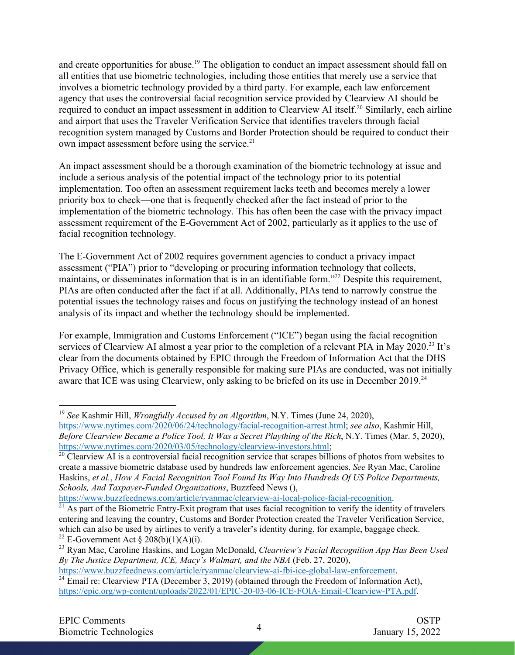and create opportunities for abuse.<sup>19</sup> The obligation to conduct an impact assessment should fall on all entities that use biometric technologies, including those entities that merely use a service that involves a biometric technology provided by a third party. For example, each law enforcement agency that uses the controversial facial recognition service provided by Clearview AI should be required to conduct an impact assessment in addition to Clearview AI itself.<sup>20</sup> Similarly, each airline and airport that uses the Traveler Verification Service that identifies travelers through facial recognition system managed by Customs and Border Protection should be required to conduct their own impact assessment before using the service.<sup>21</sup>

An impact assessment should be a thorough examination of the biometric technology at issue and include a serious analysis of the potential impact of the technology prior to its potential implementation. Too often an assessment requirement lacks teeth and becomes merely a lower priority box to check—one that is frequently checked after the fact instead of prior to the implementation of the biometric technology. This has often been the case with the privacy impact assessment requirement of the E-Government Act of 2002, particularly as it applies to the use of facial recognition technology.

The E-Government Act of 2002 requires government agencies to conduct a privacy impact assessment ("PIA") prior to "developing or procuring information technology that collects, maintains, or disseminates information that is in an identifiable form."22 Despite this requirement, PIAs are often conducted after the fact if at all. Additionally, PIAs tend to narrowly construe the potential issues the technology raises and focus on justifying the technology instead of an honest analysis of its impact and whether the technology should be implemented.

For example, Immigration and Customs Enforcement ("ICE") began using the facial recognition services of Clearview AI almost a year prior to the completion of a relevant PIA in May 2020.<sup>23</sup> It's clear from the documents obtained by EPIC through the Freedom of Information Act that the DHS Privacy Office, which is generally responsible for making sure PIAs are conducted, was not initially aware that ICE was using Clearview, only asking to be briefed on its use in December 2019.<sup>24</sup>

<sup>19</sup> *See* Kashmir Hill, *Wrongfully Accused by an Algorithm*, N.Y. Times (June 24, 2020), https://www.nytimes.com/2020/06/24/technology/facial-recognition-arrest.html; *see also*, Kashmir Hill, *Before Clearview Became a Police Tool, It Was a Secret Plaything of the Rich*, N.Y. Times (Mar. 5, 2020), https://www.nytimes.com/2020/03/05/technology/clearview-investors.html;

 $20$  Clearview AI is a controversial facial recognition service that scrapes billions of photos from websites to create a massive biometric database used by hundreds law enforcement agencies. *See* Ryan Mac, Caroline Haskins, *et al.*, *How A Facial Recognition Tool Found Its Way Into Hundreds Of US Police Departments, Schools, And Taxpayer-Funded Organizations*, Buzzfeed News (),

https://www.buzzfeednews.com/article/ryanmac/clearview-ai-local-police-facial-recognition.<br><sup>21</sup> As part of the Biometric Entry-Exit program that uses facial recognition to verify the identity of travelers entering and leaving the country, Customs and Border Protection created the Traveler Verification Service, which can also be used by airlines to verify a traveler's identity during, for example, baggage check. <sup>22</sup> E-Government Act § 208(b)(1)(A)(i).

<sup>23</sup> Ryan Mac, Caroline Haskins, and Logan McDonald, *Clearview's Facial Recognition App Has Been Used By The Justice Department, ICE, Macy's Walmart, and the NBA* (Feb. 27, 2020),

https://www.buzzfeednews.com/article/ryanmac/clearview-ai-fbi-ice-global-law-enforcement.

 $24$  Email re: Clearview PTA (December 3, 2019) (obtained through the Freedom of Information Act), https://epic.org/wp-content/uploads/2022/01/EPIC-20-03-06-ICE-FOIA-Email-Clearview-PTA.pdf.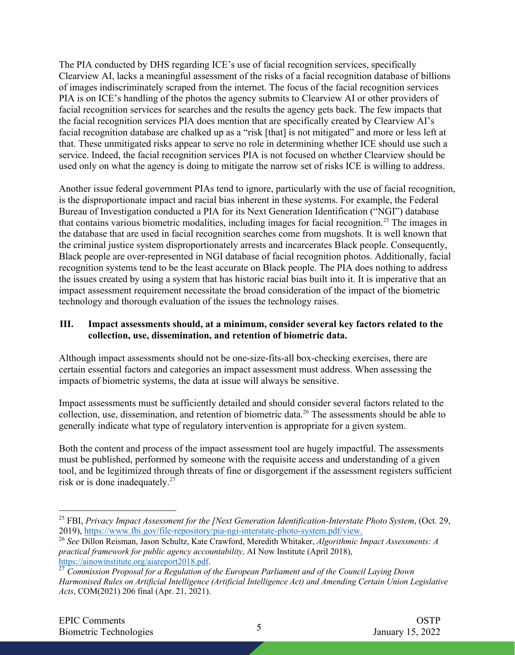The PIA conducted by DHS regarding ICE's use of facial recognition services, specifically Clearview AI, lacks a meaningful assessment of the risks of a facial recognition database of billions of images indiscriminately scraped from the internet. The focus of the facial recognition services PIA is on ICE's handling of the photos the agency submits to Clearview AI or other providers of facial recognition services for searches and the results the agency gets back. The few impacts that the facial recognition services PIA does mention that are specifically created by Clearview AI's facial recognition database are chalked up as a "risk [that] is not mitigated" and more or less left at that. These unmitigated risks appear to serve no role in determining whether ICE should use such a service. Indeed, the facial recognition services PIA is not focused on whether Clearview should be used only on what the agency is doing to mitigate the narrow set of risks ICE is willing to address.

Another issue federal government PIAs tend to ignore, particularly with the use of facial recognition, is the disproportionate impact and racial bias inherent in these systems. For example, the Federal Bureau of Investigation conducted a PIA for its Next Generation Identification ("NGI") database that contains various biometric modalities, including images for facial recognition. <sup>25</sup> The images in the database that are used in facial recognition searches come from mugshots. It is well known that the criminal justice system disproportionately arrests and incarcerates Black people. Consequently, Black people are over-represented in NGI database of facial recognition photos. Additionally, facial recognition systems tend to be the least accurate on Black people. The PIA does nothing to address the issues created by using a system that has historic racial bias built into it. It is imperative that an impact assessment requirement necessitate the broad consideration of the impact of the biometric technology and thorough evaluation of the issues the technology raises.

### **III. Impact assessments should, at a minimum, consider several key factors related to the collection, use, dissemination, and retention of biometric data.**

Although impact assessments should not be one-size-fits-all box-checking exercises, there are certain essential factors and categories an impact assessment must address. When assessing the impacts of biometric systems, the data at issue will always be sensitive.

Impact assessments must be sufficiently detailed and should consider several factors related to the collection, use, dissemination, and retention of biometric data.26 The assessments should be able to generally indicate what type of regulatory intervention is appropriate for a given system.

Both the content and process of the impact assessment tool are hugely impactful. The assessments must be published, performed by someone with the requisite access and understanding of a given tool, and be legitimized through threats of fine or disgorgement if the assessment registers sufficient risk or is done inadequately.<sup>27</sup>

<sup>25</sup> FBI, *Privacy Impact Assessment for the [Next Generation Identification-Interstate Photo System*, (Oct. 29, 2019), https://www.fbi.gov/file-repository/pia-ngi-interstate-photo-system.pdf/view.

<sup>26</sup> *See* Dillon Reisman, Jason Schultz, Kate Crawford, Meredith Whitaker, *Algorithmic Impact Assessments: A practical framework for public agency accountability,* AI Now Institute (April 2018), https://ainowinstitute.org/aiareport2018.pdf.

<sup>&</sup>lt;sup>27</sup> *Commission Proposal for a Regulation of the European Parliament and of the Council Laying Down Harmonised Rules on Artificial Intelligence (Artificial Intelligence Act) and Amending Certain Union Legislative Acts*, COM(2021) 206 final (Apr. 21, 2021).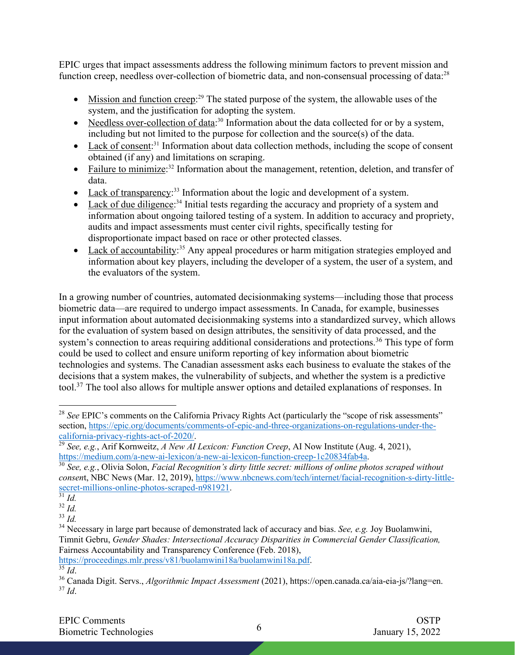EPIC urges that impact assessments address the following minimum factors to prevent mission and function creep, needless over-collection of biometric data, and non-consensual processing of data:<sup>28</sup>

- Mission and function creep:<sup>29</sup> The stated purpose of the system, the allowable uses of the system, and the justification for adopting the system.
- Needless over-collection of data:<sup>30</sup> Information about the data collected for or by a system, including but not limited to the purpose for collection and the source(s) of the data.
- Lack of consent:<sup>31</sup> Information about data collection methods, including the scope of consent obtained (if any) and limitations on scraping.
- Failure to minimize:<sup>32</sup> Information about the management, retention, deletion, and transfer of data.
- Lack of transparency:<sup>33</sup> Information about the logic and development of a system.
- Lack of due diligence:<sup>34</sup> Initial tests regarding the accuracy and propriety of a system and information about ongoing tailored testing of a system. In addition to accuracy and propriety, audits and impact assessments must center civil rights, specifically testing for disproportionate impact based on race or other protected classes.
- Lack of accountability:<sup>35</sup> Any appeal procedures or harm mitigation strategies employed and information about key players, including the developer of a system, the user of a system, and the evaluators of the system.

In a growing number of countries, automated decisionmaking systems—including those that process biometric data—are required to undergo impact assessments. In Canada, for example, businesses input information about automated decisionmaking systems into a standardized survey, which allows for the evaluation of system based on design attributes, the sensitivity of data processed, and the system's connection to areas requiring additional considerations and protections.<sup>36</sup> This type of form could be used to collect and ensure uniform reporting of key information about biometric technologies and systems. The Canadian assessment asks each business to evaluate the stakes of the decisions that a system makes, the vulnerability of subjects, and whether the system is a predictive tool.37 The tool also allows for multiple answer options and detailed explanations of responses. In

<sup>&</sup>lt;sup>28</sup> See EPIC's comments on the California Privacy Rights Act (particularly the "scope of risk assessments" section, https://epic.org/documents/comments-of-epic-and-three-organizations-on-regulations-under-thecalifornia-privacy-rights-act-of-2020/.

<sup>&</sup>lt;sup>29</sup> *See, e.g.*, Arif Kornweitz, *A New AI Lexicon: Function Creep*, AI Now Institute (Aug. 4, 2021), https://medium.com/a-new-ai-lexicon/a-new-ai-lexicon-function-creep-1c20834fab4a.

<sup>&</sup>lt;sup>30</sup> See, e.g., Olivia Solon, *Facial Recognition's dirty little secret: millions of online photos scraped without consen*t, NBC News (Mar. 12, 2019), https://www.nbcnews.com/tech/internet/facial-recognition-s-dirty-littlesecret-millions-online-photos-scraped-n981921.<br><sup>31</sup> *Id.* 

<sup>32</sup> *Id.*

<sup>33</sup> *Id.*

<sup>34</sup> Necessary in large part because of demonstrated lack of accuracy and bias. *See, e.g.* Joy Buolamwini, Timnit Gebru, *Gender Shades: Intersectional Accuracy Disparities in Commercial Gender Classification,*  Fairness Accountability and Transparency Conference (Feb. 2018),

https://proceedings.mlr.press/v81/buolamwini18a/buolamwini18a.pdf.

 $35 \overline{Id}$ .

<sup>36</sup> Canada Digit. Servs., *Algorithmic Impact Assessment* (2021), https://open.canada.ca/aia-eia-js/?lang=en.  $37$  *Id.*